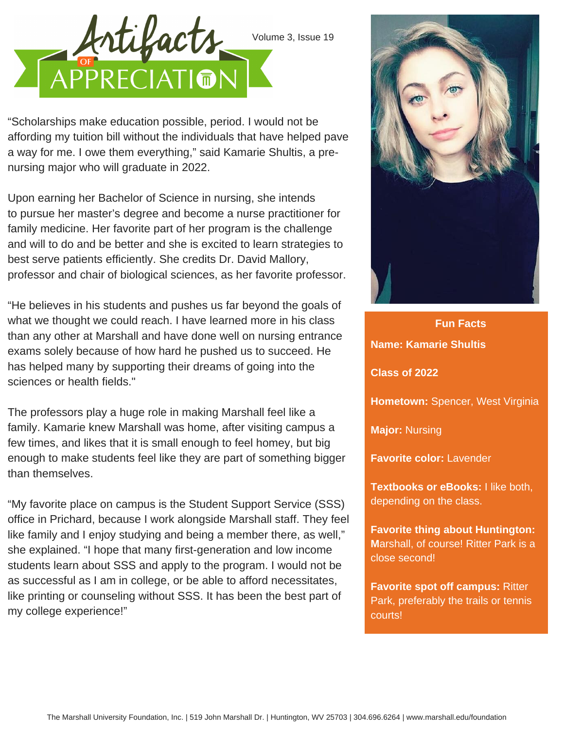

"Scholarships make education possible, period. I would not be affording my tuition bill without the individuals that have helped pave a way for me. I owe them everything," said Kamarie Shultis, a prenursing major who will graduate in 2022.

Upon earning her Bachelor of Science in nursing, she intends to pursue her master's degree and become a nurse practitioner for family medicine. Her favorite part of her program is the challenge and will to do and be better and she is excited to learn strategies to best serve patients efficiently. She credits Dr. David Mallory, professor and chair of biological sciences, as her favorite professor.

"He believes in his students and pushes us far beyond the goals of what we thought we could reach. I have learned more in his class than any other at Marshall and have done well on nursing entrance exams solely because of how hard he pushed us to succeed. He has helped many by supporting their dreams of going into the sciences or health fields."

The professors play a huge role in making Marshall feel like a family. Kamarie knew Marshall was home, after visiting campus a few times, and likes that it is small enough to feel homey, but big enough to make students feel like they are part of something bigger than themselves.

"My favorite place on campus is the Student Support Service (SSS) office in Prichard, because I work alongside Marshall staff. They feel like family and I enjoy studying and being a member there, as well," she explained. "I hope that many first-generation and low income students learn about SSS and apply to the program. I would not be as successful as I am in college, or be able to afford necessitates, like printing or counseling without SSS. It has been the best part of my college experience!"



**Fun Facts Name: Kamarie Shultis Class of 2022 Hometown:** Spencer, West Virginia **Major:** Nursing **Favorite color:** Lavender **Textbooks or eBooks:** I like both, **Favorite spot off campus:** Ritter

depending on the class.

**Favorite thing about Huntington: M**arshall, of course! Ritter Park is a close second!

Park, preferably the trails or tennis courts!